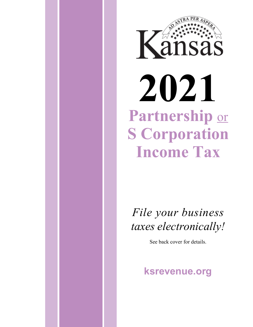

*File your business taxes electronically!* 

See back cover for details.

# **ksrevenue.gov**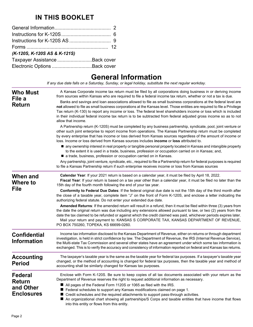## **IN THIS BOOKLET**

| (K-120S, K-120S AS & K-121S)   |  |
|--------------------------------|--|
| Taxpayer Assistance Back cover |  |
|                                |  |

# **General Information**

*If any due date falls on a Saturday, Sunday, or legal holiday, substitute the next regular workday.*

| <b>Who Must</b><br>File a<br><b>Return</b>                        | A Kansas Corporate income tax return must be filed by all corporations doing business in or deriving income<br>from sources within Kansas who are required to file a federal income tax return, whether or not a tax is due.<br>Banks and savings and loan associations allowed to file as small business corporations at the federal level are<br>not allowed to file as small business corporations at the Kansas level. Those entities are required to file a Privilege<br>Tax return (K-130) to report any income or loss. The federal level shareholders income or loss which is included<br>in their individual federal income tax return is to be subtracted from federal adjusted gross income so as to not<br>allow that income.<br>A Partnership return (K-120S) must be completed by any business partnership, syndicate, pool, joint venture or<br>other such joint enterprise to report income from operations. The Kansas Partnership return must be completed<br>by every enterprise that has income or loss derived from Kansas sources regardless of the amount of income or<br>loss. Income or loss derived from Kansas sources includes <b>income</b> or <b>loss</b> attributed to. |
|-------------------------------------------------------------------|--------------------------------------------------------------------------------------------------------------------------------------------------------------------------------------------------------------------------------------------------------------------------------------------------------------------------------------------------------------------------------------------------------------------------------------------------------------------------------------------------------------------------------------------------------------------------------------------------------------------------------------------------------------------------------------------------------------------------------------------------------------------------------------------------------------------------------------------------------------------------------------------------------------------------------------------------------------------------------------------------------------------------------------------------------------------------------------------------------------------------------------------------------------------------------------------------------|
|                                                                   | ■ any ownership interest in real property or tangible personal property located in Kansas and intangible property<br>to the extent it is used in a trade, business, profession or occupation carried on in Kansas; and,<br>a trade, business, profession or occupation carried on in Kansas.<br>Any partnership, joint venture, syndicate, etc., required to file a Partnership return for federal purposes is required<br>to file a Kansas Partnership return if such enterprise receives income or loss from Kansas sources                                                                                                                                                                                                                                                                                                                                                                                                                                                                                                                                                                                                                                                                          |
| When and<br>Where to<br><b>File</b>                               | Calendar Year: If your 2021 return is based on a calendar year, it must be filed by April 18, 2022.<br>Fiscal Year: If your return is based on a tax year other than a calendar year, it must be filed no later than the<br>15th day of the fourth month following the end of your tax year.<br>Conformity to Federal Due Dates: If the federal original due date is not the 15th day of the third month after<br>the close of a taxable year, complete item "J" on the front of Form K-120S, and enclose a letter indicating the<br>authorizing federal statute. Do not enter your extended due date.                                                                                                                                                                                                                                                                                                                                                                                                                                                                                                                                                                                                 |
|                                                                   | Amended Returns: If the amended return will result in a refund, then it must be filed within three (3) years from<br>the date the original return was due including any extensions allowed pursuant to law, or two (2) years from the<br>date the tax claimed to be refunded or against which the credit claimed was paid, whichever periods expires later.<br>Mail your return and payment to: KANSAS S CORPORATE TAX, KANSAS DEPARTMENT OF REVENUE,<br>PO BOX 750260, TOPEKA, KS 66699-0260.                                                                                                                                                                                                                                                                                                                                                                                                                                                                                                                                                                                                                                                                                                         |
| <b>Confidential</b><br><b>Information</b>                         | Income tax information disclosed to the Kansas Department of Revenue, either on returns or through department<br>investigation, is held in strict confidence by law. The Department of Revenue, the IRS (Internal Revenue Service),<br>the Multi-state Tax Commission and several other states have an agreement under which some tax information is<br>exchanged. This is to verify the accuracy and consistency of information reported on federal and Kansas tax returns.                                                                                                                                                                                                                                                                                                                                                                                                                                                                                                                                                                                                                                                                                                                           |
| <b>Accounting</b><br><b>Period</b>                                | The taxpayer's taxable year is the same as the taxable year for federal tax purposes. If a taxpayer's taxable year<br>changed, or the method of accounting is changed for federal tax purposes, then the taxable year and method of<br>accounting shall be similarly changed for Kansas tax purposes.                                                                                                                                                                                                                                                                                                                                                                                                                                                                                                                                                                                                                                                                                                                                                                                                                                                                                                  |
| <b>Federal</b><br><b>Return</b><br>and Other<br><b>Enclosures</b> | Enclose with Form K-120S. Be sure to keep copies of all tax documents associated with your return as the<br>Department of Revenue reserves the right to request additional information as necessary.<br>All pages of the Federal Form 1120S or 1065 as filed with the IRS.<br>Federal schedules to support any Kansas modifications claimed on page 1.<br>■ Credit schedules and the required attachments to support pass-through activities.<br>An organizational chart showing all partnerships/S Corps and taxable entities that have income that flows<br>into this entity or flows from this entity.                                                                                                                                                                                                                                                                                                                                                                                                                                                                                                                                                                                              |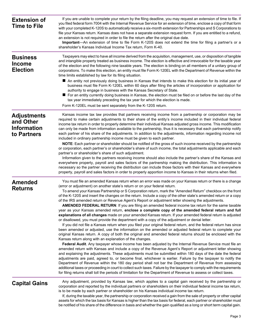| <b>Extension of</b><br><b>Time to File</b>                           | If you are unable to complete your return by the filing deadline, you may request an extension of time to file. If<br>you filed federal form 7004 with the Internal Revenue Service for an extension of time, enclose a copy of that form<br>with your completed K-120S to automatically receive a six-month extension for Partnerships and S Corporations to<br>file your Kansas return. Kansas does not have a separate extension request form. If you are entitled to a refund,<br>an extension is not required in order to file the return after the original due date.<br>Important—An extension of time to file Form K-120S does not extend the time for filing a partner's or a<br>shareholder's Kansas Individual Income Tax return, Form K-40.                                                                                                                                                                                                                                                                                                                                                                                                                                                                                                                                                                                                                                                                                                                                                                                                                                                                                                                                                                                                                                                                                                                                                                                                                                                                                                                                                                                                                                                                                                                                                         |
|----------------------------------------------------------------------|-----------------------------------------------------------------------------------------------------------------------------------------------------------------------------------------------------------------------------------------------------------------------------------------------------------------------------------------------------------------------------------------------------------------------------------------------------------------------------------------------------------------------------------------------------------------------------------------------------------------------------------------------------------------------------------------------------------------------------------------------------------------------------------------------------------------------------------------------------------------------------------------------------------------------------------------------------------------------------------------------------------------------------------------------------------------------------------------------------------------------------------------------------------------------------------------------------------------------------------------------------------------------------------------------------------------------------------------------------------------------------------------------------------------------------------------------------------------------------------------------------------------------------------------------------------------------------------------------------------------------------------------------------------------------------------------------------------------------------------------------------------------------------------------------------------------------------------------------------------------------------------------------------------------------------------------------------------------------------------------------------------------------------------------------------------------------------------------------------------------------------------------------------------------------------------------------------------------------------------------------------------------------------------------------------------------|
| <b>Business</b><br><b>Income</b><br><b>Election</b>                  | Taxpayers may elect to have all income derived from the acquisition, management, use, or disposition of tangible<br>and intangible property treated as business income. The election is effective and irrevocable for the taxable year<br>of the election and the following nine taxable years. The election is binding on all members of a unitary group of<br>corporations. To make this election, an entity must file Form K-120EL with the Department of Revenue within the<br>time limits established by law for its filing situation.<br>■ An entity not previously doing business in Kansas that intends to make this election for its initial year of<br>business must file Form K-120EL within 60 days after filing the articles of incorporation or application for<br>authority to engage in business with the Kansas Secretary of State.<br>■ For an entity currently doing business in Kansas, the election must be filed on or before the last day of the<br>tax year immediately preceding the tax year for which the election is made.<br>Form K-120EL must be sent separately from the K-120S return.                                                                                                                                                                                                                                                                                                                                                                                                                                                                                                                                                                                                                                                                                                                                                                                                                                                                                                                                                                                                                                                                                                                                                                                          |
| <b>Adjustments</b><br>and Other<br><b>Information</b><br>to Partners | Kansas income tax law provides that partners receiving income from a partnership or corporation may be<br>required to make certain adjustments to their share of the entity's income included in their individual federal<br>income tax return in order to properly determine their individual Kansas adjusted gross income. This modification<br>can only be made from information available to the partnership, thus it is necessary that each partnership notify<br>each partner of his share of the adjustments. In addition to the adjustments, information regarding income not<br>included in ordinary partnership income must be given to each partner.<br>NOTE: Each partner or shareholder should be notified of the gross of such income received by the partnership<br>or corporation, each partner's or shareholder's share of such income, the total adjustments applicable and each<br>partner's or shareholder's share of such adjustment.<br>Information given to the partners receiving income should also include the partner's share of the Kansas and<br>everywhere property, payroll and sales factors of the partnership making the distribution. This information is<br>necessary so the partner receiving the distribution can include those factors with their Kansas and everywhere                                                                                                                                                                                                                                                                                                                                                                                                                                                                                                                                                                                                                                                                                                                                                                                                                                                                                                                                                                                                  |
| <b>Amended</b><br><b>Returns</b>                                     | property, payroll and sales factors in order to properly apportion income to Kansas in their returns when filed.<br>You must file an amended Kansas return when an error was made on your Kansas return or there is a change<br>(error or adjustment) on another state's return or on your federal return.<br>To amend your Kansas Partnership or S Corporation return, mark the "Amended Return" checkbox on the front<br>of the K-120S and insert the changes on the return. Include a copy of the other state's amended return or a copy<br>of the IRS amended return or Revenue Agent's Report or adjustment letter showing the adjustments.<br><b>AMENDED FEDERAL RETURN:</b> If you are filing an amended federal income tax return for the same taxable<br>year as your Kansas amended return, enclose a complete copy of the amended federal return and full<br>explanations of all changes made on your amended Kansas return. If your amended federal return is adjusted<br>or disallowed, you must provide the department with a copy of the adjustment or denial letter.<br>If you did not file a Kansas return when you filed your original federal return, and the federal return has since<br>been amended or adjusted, use the information on the amended or adjusted federal return to complete your<br>original Kansas return. A copy of both the original and amended federal returns should be enclosed with the<br>Kansas return along with an explanation of the changes.<br>Federal Audit. Any taxpayer whose income has been adjusted by the Internal Revenue Service must file an<br>amended return with Kansas and include a copy of the Revenue Agent's Report or adjustment letter showing<br>and explaining the adjustments. These adjustments must be submitted within 180 days of the date the federal<br>adjustments are paid, agreed to, or become final, whichever is earlier. Failure by the taxpayer to notify the<br>Department of Revenue within the 180 day period shall not bar the Department of Revenue from assessing<br>additional taxes or proceeding in court to collect such taxes. Failure by the taxpayer to comply with the requirements<br>for filing returns shall toll the periods of limitation for the Department of Revenue to assess or collect taxes. |
| <b>Capital Gains</b>                                                 | Any adjustment, provided by Kansas law, which applies to a capital gain received by the partnership or<br>corporation and reported by the individual partners or shareholders on their individual federal income tax return,<br>is to be made by each partner or shareholder on his Kansas individual income tax return.<br>If, during the taxable year, the partnership or corporation received a gain from the sale of property or other capital                                                                                                                                                                                                                                                                                                                                                                                                                                                                                                                                                                                                                                                                                                                                                                                                                                                                                                                                                                                                                                                                                                                                                                                                                                                                                                                                                                                                                                                                                                                                                                                                                                                                                                                                                                                                                                                              |

assets for which the tax basis for Kansas is higher than the tax basis for federal, each partner or shareholder must be notified of his share of the difference in basis and whether the gain qualified as a long or short term capital gain.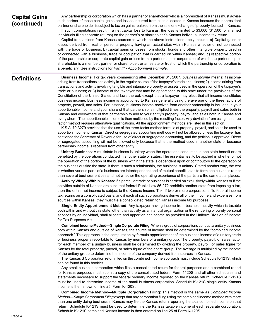## **Capital Gains (continued)**

Any partnership or corporation which has a partner or shareholder who is a nonresident of Kansas must advise such partner of those capital gains and losses incurred from assets located in Kansas because the nonresident partner or shareholder is subject to tax on gains realized from the sale or exchange of property located in Kansas. If such computations result in a net capital loss to Kansas, the loss is limited to \$3,000 (\$1,500 for married

individuals filing separate returns) on the partner's or shareholder's Kansas individual income tax return.

Capital transactions from Kansas sources to which the above instructions apply include: **a)** Capital gains or losses derived from real or personal property having an actual situs within Kansas whether or not connected with the trade or business; **b)** capital gains or losses from stocks, bonds and other intangible property used in or connected with a business, trade or occupation that is carried on within Kansas; and, **c)** respective portion of the partnership or corporate capital gain or loss from a partnership or corporation of which the partnership or shareholder is a member, partner or shareholder, or an estate or trust of which the partnership or corporation is a beneficiary. See instructions for *Part III - Apportionment Formula*.

## **Definitions**

**Business Income**: For tax years commencing after December 31, 2007, *business income* means: 1) income arising from transactions and activity in the regular course of the taxpayer's trade or business; 2) income arising from transactions and activity involving tangible and intangible property or assets used in the operation of the taxpayer's trade or business; or 3) income of the taxpayer that may be apportioned to this state under the provisions of the Constitution of the United States and laws thereof, except that a taxpayer may elect that all income constitutes business income. Business income is apportioned to Kansas generally using the average of the three factors of property, payroll, and sales. For instance, business income received from another partnership is included in your apportionable income and your share of that partnership is multiplied times the property, payroll and sales both in Kansas and everywhere of that partnership to add to your entity's property, payroll and sales both in Kansas and everywhere. The apportionable income is then multiplied by the resulting factor. Any deviation from using the three factor method requires alternative qualifications. All the apportionment methods are listed in this section.

K.S.A. 79-3279 provides that the use of the three-factor method formula of property, payroll, and sales be used to apportion income to Kansas. Direct or segregated accounting methods will not be allowed unless the taxpayer has petitioned the Secretary of Revenue for use of direct or segregated accounting, and the petition is approved. Direct or segregated accounting will not be allowed only because that is the method used in another state or because partnership income is received from other entity.

**Unitary Business**: A multistate business is unitary when the operations conducted in one state benefit or are benefited by the operations conducted in another state or states. The essential test to be applied is whether or not the operation of the portion of the business within the state is dependent upon or contributory to the operation of the business outside the state. If there is such a relationship, the business is unitary. Stated another way, the test is whether various parts of a business are interdependent and of mutual benefit so as to form one business rather than several business entities and not whether the operating experience of the parts are the same at all places.

**Activity Wholly Within Kansas**: If a particular trade or business is carried on exclusively within Kansas or if the activities outside of Kansas are such that federal Public Law 86-272 prohibits another state from imposing a tax, then the entire net income is subject to the Kansas Income Tax. If two or more corporations file federal income tax returns on a consolidated basis, and if each of such corporations derive all of their income and expenses from sources within Kansas, they must file a consolidated return for Kansas income tax purposes.

**Single Entity Apportionment Method**: Any taxpayer having income from business activity which is taxable both within and without this state, other than activity as a financial organization or the rendering of purely personal services by an individual, shall allocate and apportion net income as provided in the Uniform Division of Income for Tax Purposes Act.

**Combined Income Method—Single Corporate Filing**: When a group of corporations conduct a unitary business both within Kansas and outside of Kansas, the source of income shall be determined by the "combined income approach." This approach is the computation by formula apportionment of the business income of a unitary trade or business properly reportable to Kansas by members of a unitary group. The property, payroll, or sales factor for each member of a unitary business shall be determined by dividing the property, payroll, or sales figure for Kansas by the total property, payroll, or sales figure of the entire group. The average is multiplied by the income of the unitary group to determine the income of the company derived from sources in Kansas.

The Kansas S Corporation return filed on the combined income approach must include Schedule K-121S, which can be found in this booklet.

Any small business corporation which files a consolidated return for federal purposes and a combined report for Kansas purposes must submit a copy of the consolidated federal Form 1120S and all other schedules and statements necessary to support the federal ordinary income reported on the Kansas return. Schedule K-121S must be used to determine income of the small business corporation. Schedule K-121S single entity Kansas income is then shown on line 25, Form K-120S.

**Combined Income Method—Multiple Corporation Filing**: This method is the same as *Combined Income Method—Single Corporation Filing* except that any corporation filing using the combined income method with more than one entity doing business in Kansas may file the Kansas return reporting the total combined income on that return. Schedule K-121S must be used to determine the Kansas taxable income of each separate corporation. Schedule K-121S combined Kansas income is then entered on line 25 of Form K-120S.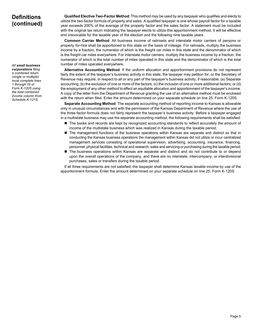## **Definitions (continued)**

*All small business corporations filing* 

*a combined return (single or multiple) must complete lines 1 through 19 of Form K-120S using the total combined income column from Schedule K-121S.*

**Qualified Elective Two-Factor Method**: This method may be used by any taxpayer who qualifies and elects to utilize the two-factor formula of property and sales. A qualified taxpayer is one whose payroll factor for a taxable year exceeds 200% of the average of the property factor and the sales factor. A statement must be included with the original tax return indicating the taxpayer elects to utilize this apportionment method. It will be effective and irrevocable for the taxable year of the election and the following nine taxable years.

**Common Carrier Method**: All business income of railroads and interstate motor carriers of persons or property for-hire shall be apportioned to this state on the basis of mileage. For railroads, multiply the business income by a fraction, the numerator of which is the freight car miles in this state and the denominator of which is the freight car miles everywhere. For interstate motor carriers, multiply the business income by a fraction, the numerator of which is the total number of miles operated in this state and the denominator of which is the total number of miles operated everywhere.

**Alternative Accounting Method**: If the uniform allocation and apportionment provisions do not represent fairly the extent of the taxpayer's business activity in this state, the taxpayer may petition for, or the Secretary of Revenue may require, in respect to all or any part of the taxpayer's business activity, if reasonable: (a) Separate accounting; (b) the exclusion of one or more of the factors; (c) the inclusion of one or more additional factors; or (d) the employment of any other method to effect an equitable allocation and apportionment of the taxpayer's income. A copy of the letter from the Department of Revenue granting the use of an alternative method must be enclosed with the return when filed. Enter the amount determined on your separate schedule on line 25, Form K-120S.

**Separate Accounting Method**: The separate accounting method of reporting income to Kansas is allowable only in unusual circumstances and with the permission of the Kansas Department of Revenue where the use of the three-factor formula does not fairly represent the taxpayer's business activity. Before a taxpayer engaged in a multistate business may use the separate accounting method, the following requirements shall be satisfied:

- $\blacksquare$  The books and records are kept by recognized accounting standards to reflect accurately the amount of income of the multistate business which was realized in Kansas during the taxable period;
- $\blacksquare$  The management functions of the business operations within Kansas are separate and distinct so that in conducting the Kansas business operations the management within Kansas did not utilize or incur centralized management services consisting of operational supervision, advertising, accounting, insurance, financing, personnel, physical facilities, technical and research, sales and servicing or purchasing during the taxable period;
- **n** The business operations within Kansas are separate and distinct and do not contribute to or depend upon the overall operations of the company, and there are no interstate, intercompany, or interdivisional purchases, sales or transfers during the taxable period.

If all three requirements are not satisfied, the taxpayer shall determine Kansas taxable income by use of the apportionment formula. Enter the amount determined on your separate schedule on line 25, Form K-120S.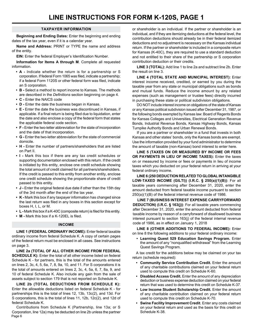#### **TAXPAYER INFORMATION**

**Beginning and Ending Dates:** Enter the beginning and ending dates of the tax year, even if it is a calendar year.

**Name and Address:** PRINT or TYPE the name and address of the entity.

**EIN:** Enter the federal Employer's Identification Number.

**Information for Items A through M**. Complete all requested information.

- **• A** Indicate whether the return is for a partnership or S corporation. If federal Form 1065 was filed, indicate a partnership; if a federal Form 1120S or other federal form was filed, indicate an S corporation.
- **• B** Select a method to report income to Kansas. The methods are described in the *Definitions* section beginning on page 4.
- **• C** Enter the NAICS code
- **• D** Enter the date the business began in Kansas.
- E Enter the date the business was discontinued in Kansas, if applicable. If a final return is being filed due to liquidation, enter the date and also enclose a copy of the federal form that states the applicable federal code section.
- **• F** Enter the two-letter abbreviation for the state of incorporation and the date of that incorporation.
- **G** Enter the two-letter abbreviation for the state of commercial domicile.
- **H** Enter the number of partners/shareholders that are listed on Part II.
- **• I** Mark this box if there are any tax credit schedules or supporting documentation enclosed with this return. If the credit is initiated by this entity, enclose one credit schedule showing the total amount of credit claimed for all partners/shareholders. If the credit is passed to this entity from another entity, enclose one credit schedule showing the proportionate share of credit passed to this entity.
- **• J** Enter the original federal due date if other than the 15th day of the 3rd month after the end of the tax year.
- **• K** Mark this box if any taxpayer information has changed since the last return was filed in any boxes in this section except for boxes H, I, L, or M.
- **• L** Mark this box if a K-40C (composite return) is filed for this entity.
- **• M** Mark this box if a K-120EL is filed.

#### **INCOME**

**LINE 1 (FEDERAL ORDINARY INCOME):** Enter federal taxable ordinary income from federal Schedule K. A copy of certain pages of the federal return must be enclosed in all cases. See instructions on page 3.

**LINE 2a (TOTAL OF ALL OTHER INCOME FROM FEDERAL SCHEDULE K):** Enter the total of all other income listed on federal Schedule K - for partners, this is the total of the amounts entered on lines 2, 3c, 4, 5, 6a, 7, 8, 9a, 10, and 11. For S corporations it is the total of amounts entered on lines 2, 3c, 4, 5a, 6, 7, 8a, 9, and 10 of federal Schedule K. Also include any gain from the sale of assets subject to section 179 that is not reported on Schedule K.

**LINE 2b (TOTAL DEDUCTIONS FROM SCHEDULE K):** Enter the allowable deductions listed on federal Schedule K - for partnerships this is the total of lines 12, 13b, 13c(2), and 13d. For S corporations, this is the total of lines 11, 12b, 12c(2), and 12d of federal Schedule K.

Page 6 Contributions from Schedule K (Partnership, line 13a; or S Corporation, line 12a) may be deducted on line 2b unless the partner or shareholder is an individual. If the partner or shareholder is an individual, and if they are itemizing deductions at the federal level, the contribution deductions should already be in their federal itemized deductions and no adjustment is necessary on the Kansas individual return. If the partner or shareholder is included in a composite return for Kansas (K-40C), they are required to use a standard deduction and not entitled to their share of the partnership or S corporation contribution deduction or their credits.

**LINE 3 (TOTAL):** Add line 1 to line 2a and subtract line 2b. Enter the result on line 3.

**LINE 4 (TOTAL STATE AND MUNICIPAL INTEREST):** Enter interest income received, credited, or earned by you during the taxable year from any state or municipal obligations such as bonds and mutual funds. Reduce the income amount by any related expenses (such as management or trustee fees) directly incurred in purchasing these state or political subdivision obligations.

DO NOT include interest income on obligations of the state of Kansas or any Kansas political subdivision issued after December 31, 1987, or the following bonds exempted by Kansas law: Board of Regents Bonds for Kansas Colleges and Universities, Electrical Generation Revenue Bonds, Industrial Revenue Bonds, Kansas Highway Bonds, Kansas Turnpike Authority Bonds and Urban Renewal Bonds.

If you are a partner or shareholder in a fund that invests in both Kansas and other states' bonds, only the Kansas bonds are exempt. Use the information provided by your fund administrator to determine the amount of taxable (non-Kansas) bond interest to enter here.

**LINE 5 (TAXES ON OR MEASURED BY INCOME OR FEES OR PAYMENTS IN LIEU OF INCOME TAXES):** Enter the taxes on or measured by income or fees or payments in lieu of income taxes which you deducted on your federal return in arriving at your federal ordinary income.

**LINE 6 (250 DEDUCTION RELATED TO GLOBAL INTANGIBLE LOW-TAXED INCOME (GILTI)) (I.R.C. § 250(a)(1)(B))**: For all taxable years commencing after December 31, 2020, enter the amount deducted from federal taxable income pursuant to section 250(a)(1)(B) of the federal internal revenue code of 1986.

**LINE 7 (BUSINESS INTEREST EXPENSE CARRYFORWARD DEDUCTION) (I.R.C. § 163(j))**: For all taxable years commencing after December 31, 2020, enter the amount deducted from federal taxable income by reason of a carryforward of disallowed business interest pursuant to section 163(j) of the federal internal revenue code of 1986, as in effect on January 1, 2018

**LINE 8 (OTHER ADDITIONS TO FEDERAL INCOME):** Enter on line 8 the following additions to your federal ordinary income:

**• Learning Quest 529 Education Savings Program.** Enter the amount of any "nonqualified withdrawal" from the Learning Quest Savings Program.

A tax credit for the additions below may be claimed on your tax return (schedule required):

- **• Community Service Contribution Credit.** Enter the amount of any charitable contributions claimed on your federal return used to compute this credit on Schedule K-60.
- **• Disabled Access Credit.** Enter the amount of any depreciation deduction or business expense deduction claimed on your federal return that was used to determine this credit on Schedule K-37.
- **• Low Income Student Scholarship Credit.** Enter the amount of any charitable contribution claimed on your federal return used to compute this credit on Schedule K-70.
- **• Swine Facility Improvement Credit**. Enter any costs claimed on your federal return and used as the basis for this credit on Schedule K-38.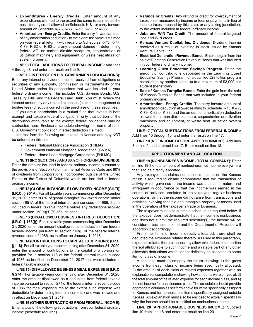- **• Expenditures Energy Credits**. Enter amount of any expenditures claimed to the extent the same is claimed as the basis for any credit allowed on Schedule K-81 or carry forward amount on Schedule K-73, K-77, K-79, K-82, or K-83.
- **• Amortization Energy Credits**. Enter the carry forward amount of any amortization deduction - to the extent the same is claimed on your federal return - with regard to Schedules K-73, K-77, K-79, K-82 or K-83 and any amount claimed in determining federal AGI on carbon dioxide recapture, sequestration or utilization machinery and equipment, or waste heat utilization system property.

**LINE 9 (TOTAL ADDITIONS TO FEDERAL INCOME):** Add lines 4 through 8 and enter the result on line 9.

**LINE 10 (INTEREST ON U.S. GOVERNMENT OBLIGATIONS):** Enter any interest or dividend income received from obligations or securities of any authority, commission or instrumentality of the United States and/or its possessions that was included in your federal ordinary income. This includes U.S. Savings Bonds, U.S. Treasury Bills, and the Federal Land Bank. You must reduce the interest amount by any related expenses (such as management or trustee fees) directly incurred in the purchase of these securities.

If you are a shareholder in a mutual fund that invests in both exempt and taxable federal obligations, only that portion of the distribution attributable to the exempt federal obligations may be subtracted here. Enclose a schedule showing the name of each U.S. Government obligation interest deduction claimed.

Interest from the following are taxable to Kansas and may NOT be entered on this line:

- Federal National Mortgage Association (FNMA)
- Government National Mortgage Association (GNMA)
- Federal Home Loan Mortgage Corporation (FHLMC)

**LINE 11 (IRC SECTION 78 AND 80% OF FOREIGN DIVIDENDS):** Enter the amount included in federal ordinary income pursuant to the provisions of Section 78 of the Internal Revenue Code and 80% of dividends from corporations incorporated outside of the United States or the District of Columbia which are included in federal ordinary income.

**LINE 12 (GLOBAL INTANGIBLE LOW-TAXED INCOME (GILTI)) (I.R.C. § 951A)**: For all taxable years commencing after December 31, 2020, enter 100% of global intangible low-taxed income under section 951A of the federal internal revenue code of 1986, that is included in federal taxable income before any deductions allowed under section 250(a)(1)(B) of such code.

**LINE 13 (DISALLOWED BUSINESS INTEREST DEDUCTION) (I.R.C. § 163(j))**: For all taxable years commencing after December 31, 2020, enter the amount disallowed as a deduction from federal taxable income pursuant to section 163(j) of the federal internal revenue code of 1986, as in effect on January 1, 2018.

**LINE 14 (CONTRIBUTIONS TO CAPITAL EXCEPTIONS) (I.R.C. § 118)**: For all taxable years commencing after December 31, 2020, enter the amount of contributions to the capital of a corporation provided for in section 118 of the federal internal revenue code of 1986 as in effect on December 21, 2017 that were included in federal taxable income.

**LINE 15 (DISALLOWED BUSINESS MEAL EXPENSES) (I.R.C. § 274)**: For taxable years commencing after December 31, 2020, enter the amount disallowed as a deduction from federal taxable income pursuant to section 274 of the federal internal revenue code of 1986 for meal expenditures to the extent such expense was deductible for determining federal income tax and was allowed and in effect on December 31, 2017.

**LINE 16 (OTHER SUBTRACTIONS FROM FEDERAL INCOME):** Enter a total of the following subtractions from your federal ordinary income (schedule required).

- **• Refunds or Credits**. Any refund or credit for overpayment of taxes on or measured by income or fees or payments in lieu of income taxes imposed by this state, or any taxing jurisdiction, to the extent included in federal ordinary income.
- **• Jobs and WIN Tax Credit**. The amount of federal targeted iobs and WIN credit.
- **• Kansas Venture Capital, Inc. Dividends**. Dividend income received as a result of investing in stock issued by Kansas Venture Capital, Inc.
- **• Electrical Generation Revenue Bonds**. Enter the gain from the sale of Electrical Generation Revenue Bonds that was included in your federal ordinary income.
- **• Learning Quest Education Savings Program**. Enter the amount of contributions deposited in the Learning Quest Education Savings Program, or a qualified 529 tuition program established by another state, up to a maximum of \$3,000 per student (beneficiary).
- **• Sale of Kansas Turnpike Bonds**. Enter the gain from the sale of Kansas Turnpike Bonds that was included in your federal ordinary income.
- **• Amortization Energy Credits**. The carry forward amount of amortization deduction allowed relating to Schedule K-73, K-77, K-79, K-82 or K-83, and the amount of amortization deduction allowed for carbon dioxide capture, sequestration or utilization machinery and equipment, or waste heat utilization system property.

**LINE 17 (TOTAL SUBTRACTIONS FROM FEDERAL INCOME):** Add lines 10 through 16, and enter the result on line 17.

**LINE 18 (NET INCOME BEFORE APPORTIONMENT):** Add lines 3 to line 9, and subtract line 17. Enter result on line 18.

#### **APPORTIONMENT AND ALLOCATION**

**LINE 19 (NONBUSINESS INCOME - TOTAL COMPANY):** Enter on line 19 the total amount of nonbusiness net income everywhere that is to be directly allocated.

Any taxpayer that claims nonbusiness income on the Kansas return is required to clearly demonstrate that the transaction or activity which gave rise to the income was unusual in nature and infrequent in occurrence or that the income was earned in the course of activities unrelated to the taxpayer's regular business operations; or that the income did not arise from transactions and activities involving tangible and intangible property or assets used in the operation of the taxpayer's trade or business.

The taxpayer must also submit a schedule as required below. If the taxpayer does not demonstrate that the income is nonbusiness and does not submit the required schedule(s), the income will be considered business income and the Department of Revenue will apportion it accordingly.

From the items of income directly allocated, there shall be deducted the expenses related thereto. As used in this paragraph, expenses related thereto means any allowable deduction or portion thereof attributable to such income and a ratable part of any other allowable deductions which cannot definitely be allocated to some item or class of income.

A schedule must accompany the return showing: 1) the gross income from each class of income being specifically allocated, 2) the amount of each class of related expenses together with an explanation or computations showing how amounts were arrived at, 3) the total amount of the related expense for each income class, and 4) the net income for each income class. The schedules should provide appropriate columns as set forth above for items specifically assigned to Kansas and for nonbusiness items specifically assigned outside Kansas. An explanation must also be enclosed to explain specifically why the income should be classified as nonbusiness income.

**LINE 20 (APPORTIONABLE BUSINESS INCOME):** Subtract line 19 from line 18 and enter the result on line 20.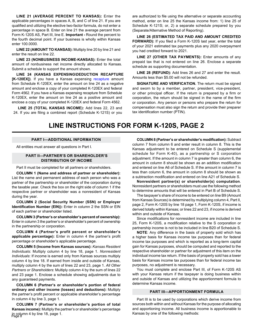**LINE 21 (AVERAGE PERCENT TO KANSAS):** Enter the applicable percentages in spaces A, B, and C of line 21. If you are qualified and utilizing the elective two-factor formula, do not enter a percentage in space B. Enter on line 21 the average percent from Form K-120S AS, Part III, line E. **Important -** Round the percent to the fourth decimal point. If your business is wholly within Kansas enter 100.0000.

**LINE 22 (AMOUNT TO KANSAS):** Multiply line 20 by line 21 and enter the result on line 22.

**LINE 23 (NONBUSINESS INCOME-KANSAS):** Enter the total amount of nonbusiness net income directly allocated to Kansas. Submit a schedule to support the amount shown.

**LINE 24 (KANSAS EXPENSING\DEDUCTION RECAPTURE [K-120EX])**. If you have a Kansas expensing recapture amount from Schedule K-120EX, enter the amount on line 24 as a negative amount and enclose a copy of your completed K-120EX and federal Form 4562. If you have a Kansas expensing recapture from Schedule K-120EX, enter the amount on line 24 as a positive amount and enclose a copy of your completed K-120EX and federal Form 4562.

**LINE 25 (TOTAL KANSAS INCOME):** Add lines 22, 23 and 24. If you are filing a combined report (Schedule K-121S) or you are authorized to file using the alternative or separate accounting method, enter on line 25 the Kansas income from: 1) line 25 of Schedule K-121S; or, 2) a separate schedule prepared by you (Separate/Alternative Method of Reporting).

**LINE 26 (ESTIMATED TAX PAID AND AMOUNT CREDITED FORWARD):** If you filed a Form K-120S last year, enter the total of your 2021 estimated tax payments plus any 2020 overpayment you had credited forward to 2021.

**LINE 27 (OTHER TAX PAYMENTS):** Enter amounts of any prepaid tax that is not entered on line 26. Enclose a separate schedule as supporting documentation.

**LINE 28 (REFUND):** Add lines 26 and 27 and enter the result. Amounts less than \$5.00 will not be refunded.

**SIGNATURE AND VERIFICATION.** The return must be signed and sworn to by a member, partner, president, vice-president, or other principal officer. If the return is prepared by a firm or corporation, the return should be signed in the name of the firm or corporation. Any person or persons who prepare the return for compensation must also sign the return and provide their preparer tax identification number (PTIN).

## **LINE INSTRUCTIONS FOR FORM K-120S, PAGE 2**

#### **PART I—ADDITIONAL INFORMATION**

All entities must answer all questions in Part I.

#### **PART II—PARTNER'S OR SHAREHOLDER'S DISTRIBUTION OF INCOME**

Part II must be completed for all partners or shareholders.

**COLUMN 1 (Name and address of partner or shareholder):** List the name and permanent address of each person who was a partner of the partnership or shareholder of the corporation during the taxable year. Check the box on the right side of column 1 if the respective partner or shareholder was a nonresident of Kansas during the year.

**COLUMN 2 (Social Security Number (SSN) or Employer Identification Number (EIN)):** Enter in column 2 the SSN or EIN of each partner or shareholder listed.

**COLUMN 3 (Partner's or shareholder's percent of ownership):** Enter in column 3 the partner's or shareholder's percent of ownership in the partnership or corporation.

**COLUMN 4 (Partner's profit percent or shareholder's applicable percentage):** Enter in column 4 the partner's profit percentage or shareholder's applicable percentage.

**COLUMN 5 (Income from Kansas sources):** *Kansas Resident Individuals*: Multiply column 4 by line 18, page 1. *Nonresident Individuals*: If income is earned only from Kansas sources multiply column 4 by line 18. If earned from inside and outside of Kansas, multiply column 4 by the sum of lines 22 and 23, page 1. *All Other Partners or Shareholders*: Multiply column 4 by the sum of lines 22 and 23 page 1. Enclose a schedule showing adjustments due to any guaranteed payments.

**COLUMN 6 (Partner's or shareholder's portion of federal ordinary and other income (losses) and deductions):** Multiply the partner's profit percent or applicable shareholder's percentage in column 4 by line 3, page 1.

in column 4 by line 18, page 1.<br>Page 8 **COLUMN 7 (Partner's or shareholder's portion of total Kansas income):** Multiply the partner's or shareholder's percentage

**COLUMN 8 (Partner's or shareholder's modification):** Subtract column 7 from column 6 and enter result in column 8. This is the Kansas adjustment to be entered on Schedule S (supplemental schedule for Form K-40), as a partnership or S corporation adjustment. If the amount in column 7 is greater than column 6, the amount in column 8 should be shown as an addition modification and entered on line A6 of Schedule S. If the amount in column 7 is less than column 6, the amount in column 8 should be shown as a subtraction modification and entered on line A21 of Schedule S.

**Nonresident partner(s) or shareholder(s) computation**. Nonresident partners or shareholders must use the following method to determine amounts that will be entered in Part B of Schedule S.

The taxpayer's share of income to be entered on line B9 (Amount from Kansas Sources) is determined by multiplying column 4, Part II, page 2, Form K-120S by line 18 page 1, Form K-120S, if income is derived totally within Kansas; or lines 22 and 23, if income is derived within and outside of Kansas.

Since modifications for nonresident income are included in line 25, Form K-120S, a modification relative to the S corporation or partnership income is not to be included in line B20 of Schedule S.

**NOTE**: Any difference in the basis of property sold which has a higher basis for Kansas income tax purposes than for federal income tax purposes and which is reported as a long-term capital gain for Kansas purposes, should be computed and reported to the respective shareholder or partner for adjustment of this item on the individual income tax return. If the basis of property sold has a lower basis for Kansas income tax purposes than for federal income tax purposes, no adjustment is necessary.

You must complete and enclose Part III, of Form K-120S AS with your Kansas return if the taxpayer is doing business within and outside of Kansas and utilizing the apportionment formula to determine Kansas income.

#### **PART III—APPORTIONMENT FORMULA**

Part III is to be used by corporations which derive income from sources both within and without Kansas for the purpose of allocating and apportioning income. All business income is apportionable to Kansas by one of the following methods: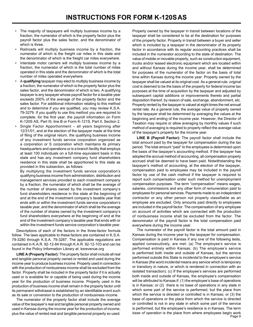- The majority of taxpayers will multiply business income by a fraction, the numerator of which is the property factor plus the payroll factor plus the sales factor, and the denominator of which is three.
- Railroads will multiply business income by a fraction, the numerator of which is the freight car miles in this state and the denominator of which is the freight car miles everywhere.
- Interstate motor carriers will multiply business income by a fraction, the numerator of which is the total number of miles operated in this state and the denominator of which is the total number of miles operated everywhere.
- A **qualifying** taxpayer may elect to multiply business income by a fraction, the numerator of which is the property factor plus the sales factor, and the denominator of which is two. A qualifying taxpayer is any taxpayer whose payroll factor for a taxable year exceeds 200% of the average of the property factor and the sales factor. For additional information relating to this method and to determine if you are qualified, you may review K.S.A. 79-3279. If you qualify to use this method you are required to complete, for the first year, the payroll information on Form K-120S AS, Part III, line B or Form K-121S, Part II, Section 2.
- Single Factor Apportionment all years beginning after 12/31/01, and at the election of the taxpayer made at the time of filing of the original return, the qualifying business income of any investment funds service corporation organized as a corporation or S corporation which maintains its primary headquarters and operations or is a branch facility that employs at least 100 individuals on a full-time equivalent basis in this state and has any investment company fund shareholders residence in this state shall be apportioned to this state as provided in this subsection, as follows:

By multiplying the investment funds service corporation's qualifying business income from administration, distribution and management services provided to each investment company by a fraction, the numerator of which shall be the average of the number of shares owned by the investment company's fund shareholders residence in this state at the beginning of and at the end of the investment company's taxable year that ends with or within the investment funds service corporation's taxable year, and the denominator of which shall be the average of the number of shares owned by the investment company's fund shareholders everywhere at the beginning of and at the end of the investment company's taxable year that ends with or within the investment funds service corporation's taxable year.

Descriptions of each of the factors in the three-factor formula follow. The laws applicable to these factors are contained in K.S.A. 79-3280 through K.S.A. 79-3287. The applicable regulations are contained in K.A.R. 92-12-84 through K.A.R. 92-12-103 and can be found in the Policy Information Library at: ksrevenue.gov

**LINE A (Property Factor):** The property factor shall include all real and tangible personal property owned or rented and used during the income year to produce business income. Property used in connection with the production of nonbusiness income shall be excluded from the factor. Property shall be included in the property factor if it is actually used or is available for or capable of being used during the income year for the production of business income. Property used in the production of business income shall remain in the property factor until its permanent withdrawal is established by an identifiable event such as its sale or conversion to the production of nonbusiness income.

The numerator of the property factor shall include the average value of the taxpayer's real and tangible personal property owned and used in Kansas during the income year for the production of income, plus the value of rented real and tangible personal property so used.

Property owned by the taxpayer in transit between locations of the taxpayer shall be considered to be at the destination for purposes of the property factor. Property in transit between a buyer and seller which is included by a taxpayer in the denominator of its property factor in accordance with its regular accounting practices shall be included in the numerator according to the state of destination. The value of mobile or movable property, such as construction equipment, trucks and/or leased electronic equipment which are located within and without Kansas during the income year, shall be determined for purposes of the numerator of the factor on the basis of total time within Kansas during the income year. Property owned by the taxpayer shall be valued at its original cost. As a general rule, *original cost* is deemed to be the basis of the property for federal income tax purposes at the time of acquisition by the taxpayer and adjusted by subsequent capital additions or improvements thereto and partial disposition thereof, by reason of sale, exchange, abandonment, etc. Property rented by the taxpayer is valued at eight times the net annual rental rate. As a general rule, the average value of property owned by the taxpayer shall be determined by averaging the values at the beginning and ending of the income year. However, the Director of Taxation may require or allow averaging by monthly values if such method of averaging is required to properly reflect the average value of the taxpayer's property for the income year.

**LINE B (Payroll Factor):** The payroll factor shall include the total amount paid by the taxpayer for compensation during the tax period. The total amount "paid" to the employees is determined upon the basis of the taxpayer's accounting method. If the taxpayer has adopted the accrual method of accounting, all compensation properly accrued shall be deemed to have been paid. Notwithstanding the taxpayer's method of accounting, at the election of the taxpayer, compensation paid to employees may be included in the payroll factor by use of the cash method if the taxpayer is required to report such compensation under such method for unemployment compensation purposes. The term "compensation" means wages, salaries, commissions and any other form of remuneration paid to employees for personal services. Payments made to an independent contractor or any other person not properly classifiable as an employee are excluded. Only amounts paid directly to employees are included in the payroll factor. The compensation of any employee on account of activities which are connected with the production of nonbusiness income shall be excluded from the factor. The denominator of the payroll factor is the total compensation paid everywhere during the income year.

Page 9 The numerator of the payroll factor is the total amount paid in Kansas during the income year by the taxpayer for compensation. Compensation is paid in Kansas if any one of the following tests, applied consecutively, are met: (a) The employee's service is performed entirely within Kansas; (b) The employee's service is performed both inside and outside of Kansas, but the service performed outside this State is *incidental* to the employee's service in Kansas (the word *incidental* means any service which is temporary or transitory in nature, or which is rendered in connection with an isolated transaction); (c) If the employee's services are performed both inside and outside of Kansas, the employee's compensation will be attributed to Kansas if: (1) the employee's base of operations is in Kansas; or (2) there is no base of operations in any state in which some part of the service is performed, but the place from which the service is directed or controlled is in Kansas; or (3) the base of operations or the place from which the service is directed or controlled is not in any state in which some part of the service is performed, but the employee's residence is in Kansas. The term *base of operation* is the place from where employees begin work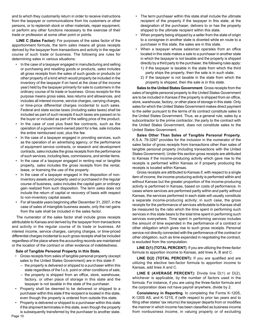and to which they customarily return in order to receive instructions from the taxpayer or communications from his customers or other persons, or to replenish stock or other materials, repair equipment, or perform any other functions necessary to the exercise of their trade or profession at some other point or points.

**LINE C (Sales Factor):** For purposes of the sales factor of the apportionment formula, the term *sales* means all gross receipts derived by the taxpayer from transactions and activity in the regular course of such trade or business. The following are rules for determining sales in various situations:

- In the case of a taxpayer engaged in manufacturing and selling or purchasing and reselling goods or products, *sales* includes all gross receipts from the sales of such goods or products (or other property of a kind which would properly be included in the inventory of the taxpayer if on hand at the close of the income year) held by the taxpayer primarily for sale to customers in the ordinary course of its trade or business. *Gross receipts* for this purpose means gross sales, less returns and allowances, and includes all interest income, service charges, carrying charges, or time-price differential charges incidental to such sales. Federal and state excise taxes (including sales taxes) shall be included as part of such receipts if such taxes are passed on to the buyer or included as part of the selling price of the product.
- In the case of cost plus fixed fee contracts, such as the operation of a government-owned plant for a fee, sale includes the entire reimbursed cost, plus the fee.
- In the case of a taxpayer engaged in providing services, such as the operation of an advertising agency, or the performance of equipment service contracts, or research and development contracts, *sales* includes the gross receipts from the performance of such services, including fees, commissions, and similar items.
- In the case of a taxpayer engaged in renting real or tangible property, *sales* includes the gross receipts from the rental, lease, or licensing the use of the property.
- In the case of a taxpayer engaged in the disposition of noninventory assets and property used or purchased in the regular course of business, *sales* includes the capital gain or ordinary gain realized from such disposition. The term *sales* does not include the return of capital or recovery of basis with respect to non-inventory capital assets.
- For all taxable years beginning after December 31, 2007, in the case of sales of intangible business assets, only the net gains from the sale shall be included in the sales factor.

The numerator of the sales factor shall include gross receipts attributable to Kansas and derived by the taxpayer from transactions and activity in the regular course of its trade or business. All interest income, service charges, carrying charges, or time-priced differential charges incidental to such gross receipts shall be included regardless of the place where the accounting records are maintained or the location of the contract or other evidence of indebtedness.

#### **Sale of Tangible Personal Property in this State.**

- Gross receipts from sales of tangible personal property (except sales to the United States Government) are in this state if:
	- the property is delivered or shipped to a purchaser within this state regardless of the f.o.b. point or other conditions of sale;
	- the property is shipped from an office, store, warehouse, factory, or other place of storage in this state and the taxpayer is not taxable in the state of the purchaser.
- Property shall be deemed to be delivered or shipped to a purchaser within this state if the recipient is located in this state, even though the property is ordered from outside this state.
- Property is delivered or shipped to a purchaser within this state if the shipment terminates in this state, even though the property is subsequently transferred by the purchaser to another state.
- The term purchaser within this state shall include the ultimate recipient of the property if the taxpayer in this state, at the designation of the purchaser, delivers to or has the property shipped to the ultimate recipient within this state.
- When property being shipped by a seller from the state of origin to a consignee in another state is diverted while en route to a purchaser in this state, the sales are in this state.
- When a taxpayer whose salesman operates from an office located in this state makes a sale to a purchaser in another state in which the taxpayer is not taxable and the property is shipped directly by a third party to the purchaser, the following rules apply:
	- 1) if the taxpayer is taxable in the state from which the third party ships the property, then the sale is in such state;
	- 2) if the taxpayer is not taxable in the state from which the property is shipped, then the sale is in this state.

**Sales to the United States Government**. Gross receipts from the sales of tangible personal property to the United States Government are to be included in Kansas if the property is shipped from an office, store, warehouse, factory, or other place of storage in this state. Only sales for which the United States Government makes direct payment to the seller pursuant to the terms of its contract constitute sales to the United States Government. Thus, as a general rule, sales by a subcontractor to the prime contractor, the party to the contract with the United States Government, does not constitute sales to the United States Government.

**Sales Other Than Sales of Tangible Personal Property**. K.S.A. 79-3287 provides for the inclusion in the numerator of the sales factor of gross receipts from transactions other than sales of tangible personal property (including transactions with the United States Government). Under this section gross receipts are attributed to Kansas if the income-producing activity which gave rise to the receipts is performed within Kansas or if property producing the receipts is located within Kansas.

Gross receipts are attributed to Kansas if, with respect to a single item of income, the income-producing activity is performed within and without Kansas but the greater proportion of the income-producing activity is performed in Kansas, based on costs of performance. In cases where services are performed partly within and partly without Kansas, the services performed in each state will usually constitute a separate income-producing activity; in such case, the gross receipts for the performance of services attributable to Kansas shall be measured by the ratio which the time spent in performing such services in this state bears to the total time spent in performing such services everywhere. Time spent in performing services includes the amount of time expended in the performance of a contract or other obligation which gives rise to such gross receipts. Personal service not directly connected with the performance of the contract or other obligation, such as time expended in negotiating the contract, is excluded from the computation.

**LINE D(1) (TOTAL PERCENT)**. If you are utilizing the three-factor formula to apportion income to Kansas, add lines A, B and C.

**LINE D(2) (TOTAL PERCENT):** If you are qualified and are utilizing the elective two-factor formula to apportion income to Kansas, add lines A and C.

**LINE E (AVERAGE PERCENT):** Divide line D(1) or D(2), whichever is applicable, by the number of factors used in the formula. For instance, if you are using the three-factor formula and the corporation does not have payroll anywhere, divide by 2.

**Consistency in Reporting**. In completing the Forms K-120S, K-120S AS, and K-121S, if (with respect to prior tax years and to filing other states' tax returns) the taxpayer departs from or modifies the manner in which income has been classified as business income from nonbusiness income, in valuing property or of excluding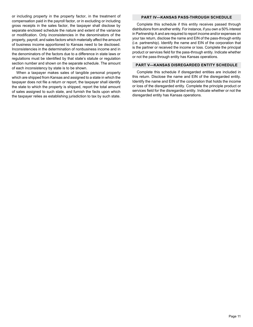or including property in the property factor, in the treatment of compensation paid in the payroll factor, or in excluding or including gross receipts in the sales factor, the taxpayer shall disclose by separate enclosed schedule the nature and extent of the variance or modification. Only inconsistencies in the denominators of the property, payroll, and sales factors which materially affect the amount of business income apportioned to Kansas need to be disclosed. Inconsistencies in the determination of nonbusiness income and in the denominators of the factors due to a difference in state laws or regulations must be identified by that state's statute or regulation section number and shown on the separate schedule. The amount of each inconsistency by state is to be shown.

When a taxpayer makes sales of tangible personal property which are shipped from Kansas and assigned to a state in which the taxpayer does not file a return or report, the taxpayer shall identify the state to which the property is shipped, report the total amount of sales assigned to such state, and furnish the facts upon which the taxpayer relies as establishing jurisdiction to tax by such state.

#### **PART IV—KANSAS PASS-THROUGH SCHEDULE**

Complete this schedule if this entity receives passed through distributions from another entity. For instance, if you own a 50% interest in Partnership A and are required to report income and/or expenses on your tax return, disclose the name and EIN of the pass-through entity (i.e. partnership). Identify the name and EIN of the corporation that is the partner or received the income or loss. Complete the principal product or services field for the pass-through entity. Indicate whether or not the pass-through entity has Kansas operations.

#### **PART V—KANSAS DISREGARDED ENTITY SCHEDULE**

Complete this schedule if disregarded entities are included in this return. Disclose the name and EIN of the disregarded entity. Identify the name and EIN of the corporation that holds the income or loss of the disregarded entity. Complete the principle product or services field for the disregarded entity. Indicate whether or not the disregarded entity has Kansas operations.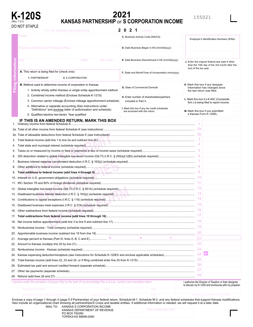

## **2021 K-120S**<br>KANSAS PARTNERSHIP *or* S CORPORATION INCOME

#### $2021$ For the taxable year beginning **2021**  $\cdot$  ending **C.** Business Activity Code (NAICS) Employer's Identification Numbers (EINs) **D.** Date Business Began in KS (mm/dd/yyyy) **Filing Information**  $\overline{5}$ **City State Zip Code E.** Date Business Discontinued in KS (mm/dd/yyyy) **J.** Enter the original federal due date if other than the 15th day of the 3rd month after the end of the tax year. **A.** This return is being filed for (check one): **F.** State and Month/Year of Incorporation (mm/yyyy) **1.** PARTNERSHIP **2.** S CORPORATION **K.** Mark this box if any taxpayer **B.** Method used to determine income of corporation in Kansas **G.** State of Commercial Domicile information has changed since 1. Activity wholly within Kansas or single entity apportionment method the last return was filed. 2. Combined income method (Enclose Schedule K-121S) **H.** Enter number of shareholders/partners **L.** Mark this box if a K-40C (Composite 3. Common carrier mileage (Enclose mileage apportionment schedule) included in Part II. Sch.) is being filed to report income. 4. Alternative or separate accounting (See instructions under **I.** Mark this box if any tax credit schedules "Definitions" and enclose letter of authorization and schedule) **M.** Mark this box if you submitted are enclosed with this return. a Kansas Form K-120EL. 5. Qualified elective two-factor. Year qualified: **IF THIS IS AN AMENDED RETURN, MARK THIS BOX** Ordinary income from federal Schedule K.... .......................................................................................................................................................... 1  $2a$ ................................................................................................................. 2a. Total of all other income from federal Schedule K (see instructions) 2b ......................................................................................................... 2b. Total of allowable deductions from federal Schedule K (see instructions) 3 ........................................................................................................................ 3. Total federal income (add line 1 to line 2a and subtract line 2b) 4 ....................................................................................................................................... 4. Total state and municipal interest (schedule required) 5 .................................................................. 5. Taxes on or measured by income or fees or payments in lieu of income taxes (schedule required) 6 6. 250 deduction related to global intangible low-taxed income (GILTI) (I.R.C. § 250(a)(1)(B)) (schedule required) ............................................. 7 7. Business interest expense carryforward deduction (I.R.C. § 163(j)) (schedule required) .................................................................................. 8 8. Other additions to federal income (schedule required) ....................................................................................................................................... 9 9. **Total additions to federal income (add lines 4 through 8)** ............................................................................................................................ 10 10. Interest on U.S. government obligations (schedule required) ............................................................................................................................. 11 11. IRC Section 78 and 80% of foreign dividends (schedule required) .................................................................................................................... 12 12. Global intangible low-taxed income (GILTI) (I.R.C. § 951A) (schedule required) ............................................................................................... 13 13. Disallowed business interest deduction (I.R.C. § 163(j)) (schedule required) .................................................................................................... 14 14. Contributions to capital exceptions (I.R.C. § 118) (schedule required) …………………………………………………………………………………………… 15 15. Disallowed business meal expenses (I.R.C. § 274) (schedule required) ........................................................................................................... 16 16. Other subtractions from federal income (schedule required) .............................................................................................................................. 17 17. **Total subtractions from federal income (add lines 10 through 16)** .............................................................................................................. 18 18. Net income before apportionment (add line 3 to line 9 and subtract line 17) ..................................................................................................... 19 ................................................................................................................................ 19. Nonbusiness income - Total company (schedule required) 20 .......................................................................................................................... 20. Apportionable business income (subtract line 19 from line 18)  $\blacksquare$   $\blacksquare$   $\blacksquare$   $\blacksquare$   $\blacksquare$   $\blacksquare$   $\blacksquare$   $\blacksquare$   $\blacksquare$   $\blacksquare$   $\blacksquare$   $\blacksquare$   $\blacksquare$   $\blacksquare$   $\blacksquare$   $\blacksquare$   $\blacksquare$   $\blacksquare$   $\blacksquare$   $\blacksquare$   $\blacksquare$   $\blacksquare$   $\blacksquare$   $\blacksquare$   $\blacksquare$   $\blacksquare$   $\blacksquare$   $\blacksquare$   $\blacksquare$   $\blacksquare$   $\blacksquare$   $\blacks$ 21 21. Average percent to Kansas (Part III, lines A, B, C and E) **<sup>A</sup> <sup>B</sup> <sup>C</sup>** ....................................................................................................................................................................... 22 22. Amount to Kansas (multiply line 20 by line 21)...... ........................................................................................................................................... 23 23. Nonbusiness income - Kansas (schedule required) 24 ..................................... 24. Kansas expensing deduction/recapture (see instructions for Schedule K-120EX and enclose applicable schedules) ...................................................................... 25 25. Total Kansas income (add lines 22, 23 and 24, or if filing combined enter line 25 from K-121S) ............................................................................................................... 26 26. Estimated tax paid and amount credited forward (separate schedule)  $27$ ............................................................................................................................................................ 27. Other tax payments (separate schedule)  $28$ 28. Refund (add lines 26 and 27) .............................................................................................................................................................................

I declare under the penalties of perjury that to the best of my knowledge this is a true, correct, and complete return.

to discuss my K-120S and enclosures with my preparer.

Enclose a copy of page 1 through 4 (page 5 if Partnership) of your federal return, Schedule M-1, Schedule M-2, and any federal schedules that support Kansas modifications. Also include an organizational chart showing all partnerships/S Corps and taxable entities. If additional information is needed, we will request it at a later date.

MAIL TO: KANSAS S CORPORATION INCOME KANSAS DEPARTMENT OF REVENUE PO BOX 750260 TOPEKA KS 66699-0260

| FOR OFFICE USE ONLY |
|---------------------|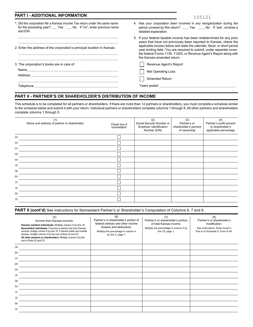| <b>PART I - ADDITIONAL INFORMATION</b>                                                                                                                                                                                                                                       | 155121                                                                                                                                                                                                                                                                                                                                                                                             |
|------------------------------------------------------------------------------------------------------------------------------------------------------------------------------------------------------------------------------------------------------------------------------|----------------------------------------------------------------------------------------------------------------------------------------------------------------------------------------------------------------------------------------------------------------------------------------------------------------------------------------------------------------------------------------------------|
| 1. Did the corporation file a Kansas Income Tax return under the same name<br>for the preceding year? ___ Yes ___ No If "no", enter previous name<br>and EIN.                                                                                                                | 4. Has your corporation been involved in any reorganization during the<br>period covered by this return? Nes No If "yes", enclose a<br>detailed explanation.                                                                                                                                                                                                                                       |
| 2. Enter the address of the corporation's principal location in Kansas.                                                                                                                                                                                                      | 5. If your federal taxable income has been redetermined for any prior<br>years that have not previously been reported to Kansas, check the<br>applicable box(es) below and state the calendar, fiscal, or short period<br>year ending date. You are required to submit, under separate cover,<br>the federal Forms 1139, 1120X, or Revenue Agent's Report along with<br>the Kansas amended return. |
| 3. The corporation's books are in care of:<br>Address and the contract of the contract of the contract of the contract of the contract of the contract of the contract of the contract of the contract of the contract of the contract of the contract of the contract of th | Revenue Agent's Report<br><b>Net Operating Loss</b><br><b>Amended Return</b>                                                                                                                                                                                                                                                                                                                       |
| Telephone ____________                                                                                                                                                                                                                                                       | Years ended                                                                                                                                                                                                                                                                                                                                                                                        |

#### **PART II - PARTNER'S OR SHAREHOLDER'S DISTRIBUTION OF INCOME**

This schedule is to be completed for all partners or shareholders. If there are more than 12 partners or shareholders, you must complete a schedule similar to the schedule below and submit it with your return. Individual partners or shareholders complete columns 1 through 8. All other partners and shareholders complete columns 1 through 5.

|     | (1)<br>Name and address of partner or shareholder | Check box if<br>nonresident | (2)<br>Social Security Number or<br>Employer Identification<br>Number (EIN) | (3)<br>Partner's or<br>shareholder's percent<br>of ownership | (4)<br>Partner's profit percent<br>or shareholder's<br>applicable percentage |
|-----|---------------------------------------------------|-----------------------------|-----------------------------------------------------------------------------|--------------------------------------------------------------|------------------------------------------------------------------------------|
| (a) |                                                   |                             |                                                                             |                                                              |                                                                              |
| (b) |                                                   |                             |                                                                             |                                                              |                                                                              |
| (c) |                                                   |                             |                                                                             |                                                              |                                                                              |
| (d) |                                                   |                             |                                                                             |                                                              |                                                                              |
| (e) |                                                   |                             |                                                                             |                                                              |                                                                              |
| (f) |                                                   |                             |                                                                             |                                                              |                                                                              |
| (g) |                                                   |                             |                                                                             |                                                              |                                                                              |
| (h) |                                                   |                             |                                                                             |                                                              |                                                                              |
| (i) |                                                   |                             |                                                                             |                                                              |                                                                              |
| (j) |                                                   |                             |                                                                             |                                                              |                                                                              |
| (k) |                                                   |                             |                                                                             |                                                              |                                                                              |
| (1) |                                                   |                             |                                                                             |                                                              |                                                                              |

PART II (cont'd) See instructions for Nonresident Partner's or Shareholder's Computation of Columns 6, 7 and 8.

|     | (5)<br>Income from Kansas sources.<br>Kansas resident individuals: Multiply column 4 by line 18.<br>Nonresident individuals: If income is earned only from Kansas<br>sources multiply column 4 by line 18. If earned inside and outside<br>Kansas, multiply column 4 by the sum of lines 22 and 23.<br>All other partners or shareholders: Multiply column 4 by the<br>sum of lines 22 and 23. | (6)<br>Partner's or shareholder's portion of<br>federal ordinary and other income<br>(losses) and deductions.<br>Multiply the percentage in column 4<br>by line 3, page 1. | (7)<br>Partner's or shareholder's portion<br>of total Kansas income.<br>Multiply the percentage in column 4 by<br>line 18, page 1. | (8)<br>Partner's or shareholder's<br>modification.<br>See instructions. Enter result in<br>Part A of Schedule S, Form K-40. |
|-----|------------------------------------------------------------------------------------------------------------------------------------------------------------------------------------------------------------------------------------------------------------------------------------------------------------------------------------------------------------------------------------------------|----------------------------------------------------------------------------------------------------------------------------------------------------------------------------|------------------------------------------------------------------------------------------------------------------------------------|-----------------------------------------------------------------------------------------------------------------------------|
| (a) |                                                                                                                                                                                                                                                                                                                                                                                                |                                                                                                                                                                            |                                                                                                                                    |                                                                                                                             |
| (b) |                                                                                                                                                                                                                                                                                                                                                                                                |                                                                                                                                                                            |                                                                                                                                    |                                                                                                                             |
| (c) |                                                                                                                                                                                                                                                                                                                                                                                                |                                                                                                                                                                            |                                                                                                                                    |                                                                                                                             |
| (d) |                                                                                                                                                                                                                                                                                                                                                                                                |                                                                                                                                                                            |                                                                                                                                    |                                                                                                                             |
| (e) |                                                                                                                                                                                                                                                                                                                                                                                                |                                                                                                                                                                            |                                                                                                                                    |                                                                                                                             |
| (f) |                                                                                                                                                                                                                                                                                                                                                                                                |                                                                                                                                                                            |                                                                                                                                    |                                                                                                                             |
| (g) |                                                                                                                                                                                                                                                                                                                                                                                                |                                                                                                                                                                            |                                                                                                                                    |                                                                                                                             |
| (h) |                                                                                                                                                                                                                                                                                                                                                                                                |                                                                                                                                                                            |                                                                                                                                    |                                                                                                                             |
| (i) |                                                                                                                                                                                                                                                                                                                                                                                                |                                                                                                                                                                            |                                                                                                                                    |                                                                                                                             |
| (j) |                                                                                                                                                                                                                                                                                                                                                                                                |                                                                                                                                                                            |                                                                                                                                    |                                                                                                                             |
| (k) |                                                                                                                                                                                                                                                                                                                                                                                                |                                                                                                                                                                            |                                                                                                                                    |                                                                                                                             |
| (1) |                                                                                                                                                                                                                                                                                                                                                                                                |                                                                                                                                                                            |                                                                                                                                    |                                                                                                                             |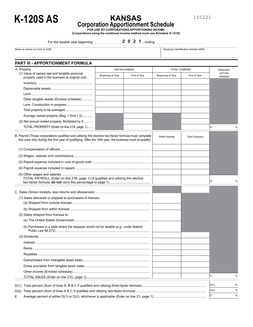

## **KANSAS**

155221

%

% %

**Corporation Apportionment Schedule**

**FOR USE BY CORPORATIONS APPORTIONING INCOME (Corporations using the combined income method must use Schedule K-121S)**

For the taxable year beginning

**PART III - APPORTIONMENT FORMULA**

#### 2 0 2 1 ; ending

Name as shown on Form K-120S **Employer Identification Number (EIN)** Employer Identification Number (EIN)

| A. Property                                                                                                                                                                                                     |                   | <b>WITHIN KANSAS</b> |                      | TOTAL COMPANY        | <b>PERCENT</b>                 |
|-----------------------------------------------------------------------------------------------------------------------------------------------------------------------------------------------------------------|-------------------|----------------------|----------------------|----------------------|--------------------------------|
| (1) Value of owned real and tangible personal<br>property used in the business at original cost                                                                                                                 | Beginning of Year | End of Year          | Beginning of Year    | End of Year          | <b>WITHIN</b><br><b>KANSAS</b> |
|                                                                                                                                                                                                                 |                   |                      |                      |                      |                                |
|                                                                                                                                                                                                                 |                   |                      |                      |                      |                                |
|                                                                                                                                                                                                                 |                   |                      |                      |                      |                                |
| Other tangible assets (Enclose schedule)                                                                                                                                                                        |                   |                      |                      |                      |                                |
| Less: Construction in progress                                                                                                                                                                                  |                   |                      |                      |                      |                                |
| Total property to be averaged                                                                                                                                                                                   |                   |                      |                      |                      |                                |
| Average owned property (Beg. + End + 2)                                                                                                                                                                         |                   |                      |                      |                      |                                |
| (2) Net annual rented property. Multiplied by 8                                                                                                                                                                 |                   |                      |                      |                      |                                |
| TOTAL PROPERTY (Enter on line 21A, page 1)                                                                                                                                                                      |                   |                      |                      |                      | Α<br>%                         |
| B. Payroll (Those corporations qualified and utilizing the elective two-factor formula must complete<br>this area only during the first year of qualifying. After the 10th year, the business must re-qualify). |                   |                      | <b>Within Kansas</b> | <b>Total Company</b> |                                |
|                                                                                                                                                                                                                 |                   |                      |                      |                      |                                |
|                                                                                                                                                                                                                 |                   |                      |                      |                      |                                |
|                                                                                                                                                                                                                 |                   |                      |                      |                      |                                |
|                                                                                                                                                                                                                 |                   |                      |                      |                      |                                |
|                                                                                                                                                                                                                 |                   |                      |                      |                      |                                |
| TOTAL PAYROLL (Enter on line 21B, page 1) (If qualified and utilizing the elective                                                                                                                              |                   |                      |                      |                      | В<br>%                         |
|                                                                                                                                                                                                                 |                   |                      |                      |                      |                                |
| (1) Sales delivered or shipped to purchasers in Kansas:                                                                                                                                                         |                   |                      |                      |                      |                                |
|                                                                                                                                                                                                                 |                   |                      |                      |                      |                                |
|                                                                                                                                                                                                                 |                   |                      |                      |                      |                                |
| (2) Sales shipped from Kansas to:                                                                                                                                                                               |                   |                      |                      |                      |                                |
|                                                                                                                                                                                                                 |                   |                      |                      |                      |                                |
| (b) Purchasers in a state where the taxpayer would not be taxable (e.g., under federal                                                                                                                          |                   |                      |                      |                      |                                |
|                                                                                                                                                                                                                 |                   |                      |                      |                      |                                |
|                                                                                                                                                                                                                 |                   |                      |                      |                      |                                |
|                                                                                                                                                                                                                 |                   |                      |                      |                      |                                |
|                                                                                                                                                                                                                 |                   |                      |                      |                      |                                |

..................................................................... TOTAL SALES (Enter on line 21C, page 1) <sup>C</sup> D(1). Total percent (Sum of lines A, B & C if qualified and utilizing three-factor formula) D(1) ..................................................................... D(2). Total percent (Sum of lines A & C if qualified and utilizing two-factor formula) D(2) ............................................................................ E. Average percent of either D(1) or D(2), whichever is applicable (Enter on line 21, page 1) <sup>E</sup> % .........................................................

......................................................................... Gains/losses from intangible asset sales ....................................................................... Gross proceeds from tangible asset sales .................................................................................... Other income (Enclose schedule)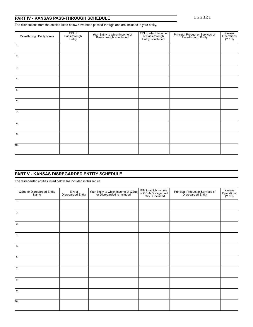The distributions from the entities listed below have been passed-through and are included in your entity.

| Pass-through Entity Name | EIN of<br>Pass-through<br>Entity | Your Entity to which income of<br>Pass-through is included | EIN to which income<br>of Pass-through<br>Entity is included | Principal Product or Services of<br>Pass-through Entity | Kansas<br>Operations<br>$(Y/N)$ |
|--------------------------|----------------------------------|------------------------------------------------------------|--------------------------------------------------------------|---------------------------------------------------------|---------------------------------|
| $\overline{1}$ .         |                                  |                                                            |                                                              |                                                         |                                 |
| 2.                       |                                  |                                                            |                                                              |                                                         |                                 |
| 3.                       |                                  |                                                            |                                                              |                                                         |                                 |
| 4.                       |                                  |                                                            |                                                              |                                                         |                                 |
| 5.                       |                                  |                                                            |                                                              |                                                         |                                 |
| 6.                       |                                  |                                                            |                                                              |                                                         |                                 |
| 7.                       |                                  |                                                            |                                                              |                                                         |                                 |
| 8.                       |                                  |                                                            |                                                              |                                                         |                                 |
| 9.                       |                                  |                                                            |                                                              |                                                         |                                 |
| 10.                      |                                  |                                                            |                                                              |                                                         |                                 |

### **PART V - KANSAS DISREGARDED ENTITY SCHEDULE**

The disregarded entities listed below are included in this return.

| QSub or Disregarded Entity<br>Name | EIN of<br>Disregarded Entity | Your Entity to which income of QSub<br>or Disregarded is included | EIN to which income<br>of QSub Disregarded<br>Entity is included | Principal Product or Services of<br>Disregarded Entity | Kansas<br>Operations<br>$(Y/N)$ |
|------------------------------------|------------------------------|-------------------------------------------------------------------|------------------------------------------------------------------|--------------------------------------------------------|---------------------------------|
| $\overline{1}$ .                   |                              |                                                                   |                                                                  |                                                        |                                 |
| 2.                                 |                              |                                                                   |                                                                  |                                                        |                                 |
| 3.                                 |                              |                                                                   |                                                                  |                                                        |                                 |
| $\overline{4}$ .                   |                              |                                                                   |                                                                  |                                                        |                                 |
| 5.                                 |                              |                                                                   |                                                                  |                                                        |                                 |
| 6.                                 |                              |                                                                   |                                                                  |                                                        |                                 |
| 7.                                 |                              |                                                                   |                                                                  |                                                        |                                 |
| 8.                                 |                              |                                                                   |                                                                  |                                                        |                                 |
| 9.                                 |                              |                                                                   |                                                                  |                                                        |                                 |
| $\overline{10}$ .                  |                              |                                                                   |                                                                  |                                                        |                                 |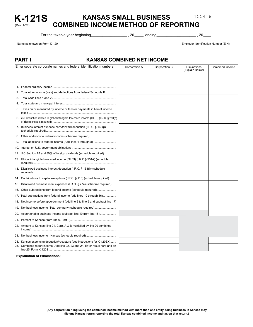155418

#### **KANSAS SMALL BUSINESS COMBINED INCOME METHOD OF REPORTING K-121S**

For the taxable year beginning

\_\_\_\_\_\_\_\_\_\_\_\_\_\_\_\_\_\_\_\_\_\_\_\_\_\_\_\_\_\_\_\_\_\_\_\_\_\_\_ \_\_\_\_\_\_\_\_\_ \_\_\_\_\_\_\_\_\_\_\_\_\_\_\_\_\_\_\_\_\_\_\_\_\_\_\_\_\_\_\_\_\_\_\_\_\_\_\_\_\_\_\_ \_\_\_\_\_\_\_\_

Name as shown on Form K-120 **Employer Identification Number (EIN)** Employer Identification Number (EIN)

(Rev. 7-21)

## **PART I KANSAS COMBINED NET INCOME**

| Enter separate corporate names and federal identification numbers                       | Corporation A | Corporation B | Eliminations<br>(Explain Below) | Combined Income |
|-----------------------------------------------------------------------------------------|---------------|---------------|---------------------------------|-----------------|
|                                                                                         |               |               |                                 |                 |
|                                                                                         |               |               |                                 |                 |
| 2. Total other income (loss) and deductions from federal Schedule K                     |               |               |                                 |                 |
|                                                                                         |               |               |                                 |                 |
|                                                                                         |               |               |                                 |                 |
| 5. Taxes on or measured by income or fees or payments in lieu of income                 |               |               |                                 |                 |
| 6. 250 deduction related to global intangible low-taxed income (GILTI) (I.R.C. § 250(a) |               |               |                                 |                 |
| 7. Business interest expense carryforward deduction (I.R.C. § 163(i))                   |               |               |                                 |                 |
|                                                                                         |               |               |                                 |                 |
|                                                                                         |               |               |                                 |                 |
|                                                                                         |               |               |                                 |                 |
| 11. IRC Section 78 and 80% of foreign dividends (schedule required)                     |               |               |                                 |                 |
| 12. Global intangible low-taxed income (GILTI) (I.R.C.§ 951A) (schedule                 |               |               |                                 |                 |
| 13. Disallowed business interest deduction (I.R.C. § 163(j)) (schedule                  |               |               |                                 |                 |
| 14. Contributions to capital exceptions (I.R.C. § 118) (schedule required)              |               |               |                                 |                 |
| 15. Disallowed business meal expenses (I.R.C. § 274) (schedule required)                |               |               |                                 |                 |
| 16. Other subtractions from federal income (schedule required)                          |               |               |                                 |                 |
| 17. Total subtractions from federal income (add lines 10 through 16)                    |               |               |                                 |                 |
| 18. Net income before apportionment (add line 3 to line 9 and subtract line 17)         |               |               |                                 |                 |
| 19. Nonbusiness income -Total company (schedule required)                               |               |               |                                 |                 |
| 20. Apportionable business income (subtract line 19 from line 18)                       |               |               |                                 |                 |
|                                                                                         |               |               |                                 |                 |
| 22. Amount to Kansas (line 21, Corp. A & B multiplied by line 20 combined               |               |               |                                 |                 |
|                                                                                         |               |               |                                 |                 |
| 24. Kansas expensing deduction/recapture (see instructions for K-120EX)                 |               |               |                                 |                 |
| 25. Combined report income (Add line 22, 23 and 24. Enter result here and on            |               |               |                                 |                 |

**Explanation of Eliminations:**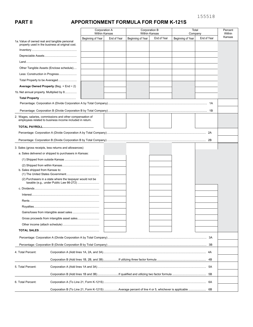## **PART lI APPORTIONMENT FORMULA FOR FORM K-121S**

|                                               |                                                                                                                       |                   | Corporation A<br>Within Kansas |                   | Corporation B<br><b>Within Kansas</b> | Total<br>Company  |             | Percent<br>Within |
|-----------------------------------------------|-----------------------------------------------------------------------------------------------------------------------|-------------------|--------------------------------|-------------------|---------------------------------------|-------------------|-------------|-------------------|
|                                               |                                                                                                                       | Beginning of Year | End of Year                    | Beginning of Year | End of Year                           | Beginning of Year | End of Year | Kansas            |
| 1a. Value of owned real and tangible personal | property used in the business at original cost.                                                                       |                   |                                |                   |                                       |                   |             |                   |
|                                               |                                                                                                                       |                   |                                |                   |                                       |                   |             |                   |
|                                               |                                                                                                                       |                   |                                |                   |                                       |                   |             |                   |
|                                               |                                                                                                                       |                   |                                |                   |                                       |                   |             |                   |
|                                               | Other Tangible Assets (Enclose schedule)                                                                              |                   |                                |                   |                                       |                   |             |                   |
|                                               | Less: Construction in Progress                                                                                        |                   |                                |                   |                                       |                   |             |                   |
|                                               | Total Property to be Averaged                                                                                         |                   |                                |                   |                                       |                   |             |                   |
|                                               | Average Owned Property (Beg. + End $\div$ 2)                                                                          |                   |                                |                   |                                       |                   |             |                   |
|                                               | 1b. Net annual property. Multiplied by 8                                                                              |                   |                                |                   |                                       |                   |             |                   |
|                                               |                                                                                                                       |                   |                                |                   |                                       |                   |             |                   |
|                                               |                                                                                                                       |                   |                                |                   |                                       |                   |             |                   |
|                                               |                                                                                                                       |                   |                                |                   |                                       |                   |             |                   |
|                                               | 2. Wages, salaries, commissions and other compensation of<br>employees related to business income included in return. |                   |                                |                   |                                       |                   |             |                   |
|                                               |                                                                                                                       |                   |                                |                   |                                       |                   |             |                   |
|                                               |                                                                                                                       |                   |                                |                   |                                       |                   |             |                   |
|                                               |                                                                                                                       |                   |                                |                   |                                       |                   |             |                   |
|                                               | 3. Sales (gross receipts, less returns and allowances)                                                                |                   |                                |                   |                                       |                   |             |                   |
|                                               | a. Sales delivered or shipped to purchasers in Kansas:                                                                |                   |                                |                   |                                       |                   |             |                   |
|                                               |                                                                                                                       |                   |                                |                   |                                       |                   |             |                   |
|                                               |                                                                                                                       |                   |                                |                   |                                       |                   |             |                   |
| b. Sales shipped from Kansas to:              |                                                                                                                       |                   |                                |                   |                                       |                   |             |                   |
|                                               | (2) Purchasers in a state where the taxpayer would not be<br>taxable (e.g., under Public Law 86-272)                  |                   |                                |                   |                                       |                   |             |                   |
|                                               |                                                                                                                       |                   |                                |                   |                                       |                   |             |                   |
|                                               |                                                                                                                       |                   |                                |                   |                                       |                   |             |                   |
|                                               |                                                                                                                       |                   |                                |                   |                                       |                   |             |                   |
|                                               |                                                                                                                       |                   |                                |                   |                                       |                   |             |                   |
|                                               |                                                                                                                       |                   |                                |                   |                                       |                   |             |                   |
|                                               |                                                                                                                       |                   |                                |                   |                                       |                   |             |                   |
|                                               |                                                                                                                       |                   |                                |                   |                                       |                   |             |                   |
|                                               |                                                                                                                       |                   |                                |                   |                                       |                   |             |                   |
|                                               |                                                                                                                       |                   |                                |                   |                                       |                   |             |                   |
|                                               |                                                                                                                       |                   |                                |                   |                                       |                   |             |                   |
| 4. Total Percent:                             |                                                                                                                       |                   |                                |                   |                                       |                   |             |                   |
|                                               |                                                                                                                       |                   |                                |                   |                                       |                   |             |                   |
| 5. Total Percent:                             |                                                                                                                       |                   |                                |                   |                                       |                   |             |                   |
|                                               |                                                                                                                       |                   |                                |                   |                                       |                   |             |                   |
| 6. Total Percent:                             |                                                                                                                       |                   |                                |                   |                                       |                   | 6A          |                   |
|                                               | Corporation B (To Line 21, Form K-121S) Average percent of line 4 or 5, whichever is applicable  6B                   |                   |                                |                   |                                       |                   |             |                   |